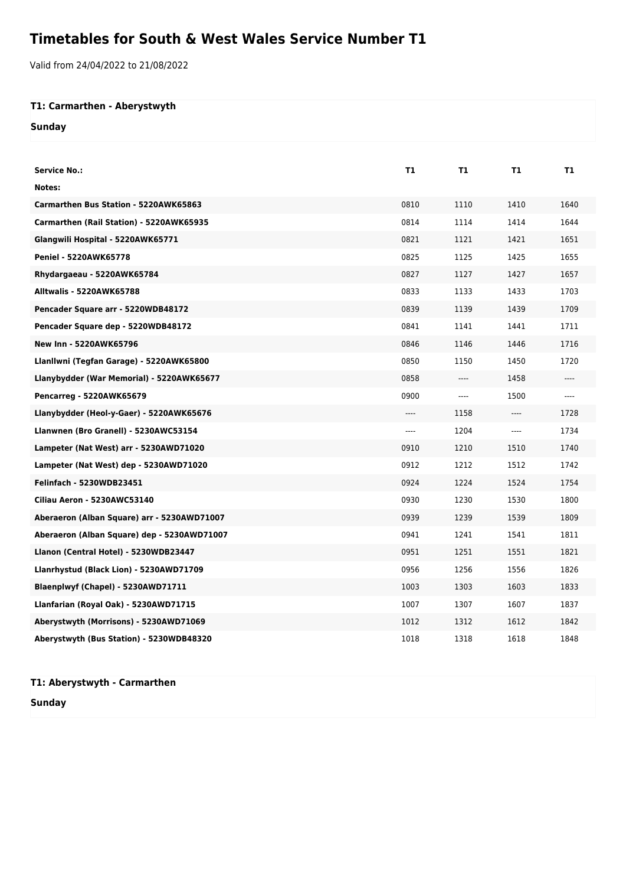## **Timetables for South & West Wales Service Number T1**

Valid from 24/04/2022 to 21/08/2022

## **T1: Carmarthen - Aberystwyth**

**Sunday**

| <b>Service No.:</b>                         | Т1   | T1                            | T1    | T1    |
|---------------------------------------------|------|-------------------------------|-------|-------|
| Notes:                                      |      |                               |       |       |
| Carmarthen Bus Station - 5220AWK65863       | 0810 | 1110                          | 1410  | 1640  |
| Carmarthen (Rail Station) - 5220AWK65935    | 0814 | 1114                          | 1414  | 1644  |
| Glangwili Hospital - 5220AWK65771           | 0821 | 1121                          | 1421  | 1651  |
| Peniel - 5220AWK65778                       | 0825 | 1125                          | 1425  | 1655  |
| Rhydargaeau - 5220AWK65784                  | 0827 | 1127                          | 1427  | 1657  |
| Alltwalis - 5220AWK65788                    | 0833 | 1133                          | 1433  | 1703  |
| Pencader Square arr - 5220WDB48172          | 0839 | 1139                          | 1439  | 1709  |
| Pencader Square dep - 5220WDB48172          | 0841 | 1141                          | 1441  | 1711  |
| <b>New Inn - 5220AWK65796</b>               | 0846 | 1146                          | 1446  | 1716  |
| Llanllwni (Tegfan Garage) - 5220AWK65800    | 0850 | 1150                          | 1450  | 1720  |
| Llanybydder (War Memorial) - 5220AWK65677   | 0858 | $---$                         | 1458  | $---$ |
| <b>Pencarreg - 5220AWK65679</b>             | 0900 | $\hspace{1.5cm} \textbf{---}$ | 1500  | $---$ |
| Llanybydder (Heol-y-Gaer) - 5220AWK65676    | ---- | 1158                          | ----  | 1728  |
| Llanwnen (Bro Granell) - 5230AWC53154       | ---- | 1204                          | $---$ | 1734  |
| Lampeter (Nat West) arr - 5230AWD71020      | 0910 | 1210                          | 1510  | 1740  |
| Lampeter (Nat West) dep - 5230AWD71020      | 0912 | 1212                          | 1512  | 1742  |
| Felinfach - 5230WDB23451                    | 0924 | 1224                          | 1524  | 1754  |
| Ciliau Aeron - 5230AWC53140                 | 0930 | 1230                          | 1530  | 1800  |
| Aberaeron (Alban Square) arr - 5230AWD71007 | 0939 | 1239                          | 1539  | 1809  |
| Aberaeron (Alban Square) dep - 5230AWD71007 | 0941 | 1241                          | 1541  | 1811  |
| Llanon (Central Hotel) - 5230WDB23447       | 0951 | 1251                          | 1551  | 1821  |
| Llanrhystud (Black Lion) - 5230AWD71709     | 0956 | 1256                          | 1556  | 1826  |
| Blaenplwyf (Chapel) - 5230AWD71711          | 1003 | 1303                          | 1603  | 1833  |
| Llanfarian (Royal Oak) - 5230AWD71715       | 1007 | 1307                          | 1607  | 1837  |
| Aberystwyth (Morrisons) - 5230AWD71069      | 1012 | 1312                          | 1612  | 1842  |
| Aberystwyth (Bus Station) - 5230WDB48320    | 1018 | 1318                          | 1618  | 1848  |

## **T1: Aberystwyth - Carmarthen**

**Sunday**